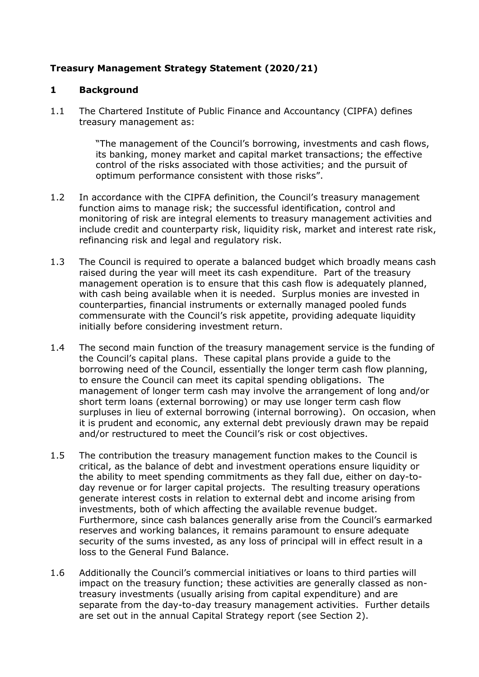# **Treasury Management Strategy Statement (2020/21)**

### **1 Background**

1.1 The Chartered Institute of Public Finance and Accountancy (CIPFA) defines treasury management as:

> "The management of the Council's borrowing, investments and cash flows, its banking, money market and capital market transactions; the effective control of the risks associated with those activities; and the pursuit of optimum performance consistent with those risks".

- 1.2 In accordance with the CIPFA definition, the Council's treasury management function aims to manage risk; the successful identification, control and monitoring of risk are integral elements to treasury management activities and include credit and counterparty risk, liquidity risk, market and interest rate risk, refinancing risk and legal and regulatory risk.
- 1.3 The Council is required to operate a balanced budget which broadly means cash raised during the year will meet its cash expenditure. Part of the treasury management operation is to ensure that this cash flow is adequately planned, with cash being available when it is needed. Surplus monies are invested in counterparties, financial instruments or externally managed pooled funds commensurate with the Council's risk appetite, providing adequate liquidity initially before considering investment return.
- 1.4 The second main function of the treasury management service is the funding of the Council's capital plans. These capital plans provide a guide to the borrowing need of the Council, essentially the longer term cash flow planning, to ensure the Council can meet its capital spending obligations. The management of longer term cash may involve the arrangement of long and/or short term loans (external borrowing) or may use longer term cash flow surpluses in lieu of external borrowing (internal borrowing). On occasion, when it is prudent and economic, any external debt previously drawn may be repaid and/or restructured to meet the Council's risk or cost objectives.
- 1.5 The contribution the treasury management function makes to the Council is critical, as the balance of debt and investment operations ensure liquidity or the ability to meet spending commitments as they fall due, either on day-today revenue or for larger capital projects. The resulting treasury operations generate interest costs in relation to external debt and income arising from investments, both of which affecting the available revenue budget. Furthermore, since cash balances generally arise from the Council's earmarked reserves and working balances, it remains paramount to ensure adequate security of the sums invested, as any loss of principal will in effect result in a loss to the General Fund Balance.
- 1.6 Additionally the Council's commercial initiatives or loans to third parties will impact on the treasury function; these activities are generally classed as nontreasury investments (usually arising from capital expenditure) and are separate from the day-to-day treasury management activities. Further details are set out in the annual Capital Strategy report (see Section 2).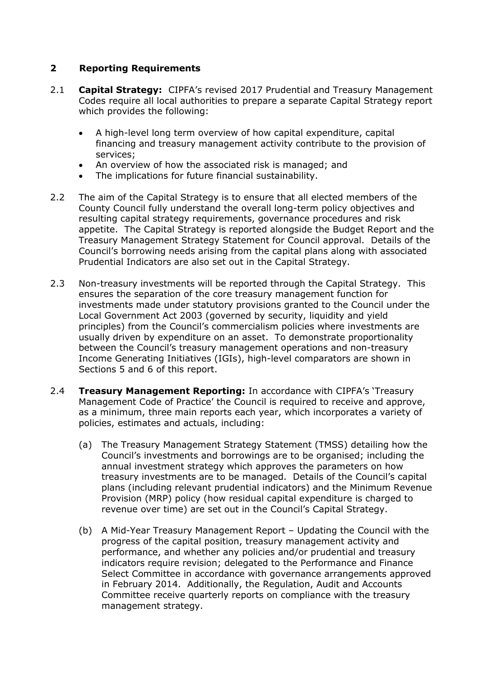## **2 Reporting Requirements**

- 2.1 **Capital Strategy:** CIPFA's revised 2017 Prudential and Treasury Management Codes require all local authorities to prepare a separate Capital Strategy report which provides the following:
	- A high-level long term overview of how capital expenditure, capital financing and treasury management activity contribute to the provision of services;
	- An overview of how the associated risk is managed; and
	- The implications for future financial sustainability.
- 2.2 The aim of the Capital Strategy is to ensure that all elected members of the County Council fully understand the overall long-term policy objectives and resulting capital strategy requirements, governance procedures and risk appetite. The Capital Strategy is reported alongside the Budget Report and the Treasury Management Strategy Statement for Council approval. Details of the Council's borrowing needs arising from the capital plans along with associated Prudential Indicators are also set out in the Capital Strategy.
- 2.3 Non-treasury investments will be reported through the Capital Strategy. This ensures the separation of the core treasury management function for investments made under statutory provisions granted to the Council under the Local Government Act 2003 (governed by security, liquidity and yield principles) from the Council's commercialism policies where investments are usually driven by expenditure on an asset. To demonstrate proportionality between the Council's treasury management operations and non-treasury Income Generating Initiatives (IGIs), high-level comparators are shown in Sections 5 and 6 of this report.
- 2.4 **Treasury Management Reporting:** In accordance with CIPFA's 'Treasury Management Code of Practice' the Council is required to receive and approve, as a minimum, three main reports each year, which incorporates a variety of policies, estimates and actuals, including:
	- (a) The Treasury Management Strategy Statement (TMSS) detailing how the Council's investments and borrowings are to be organised; including the annual investment strategy which approves the parameters on how treasury investments are to be managed. Details of the Council's capital plans (including relevant prudential indicators) and the Minimum Revenue Provision (MRP) policy (how residual capital expenditure is charged to revenue over time) are set out in the Council's Capital Strategy.
	- (b) A Mid-Year Treasury Management Report Updating the Council with the progress of the capital position, treasury management activity and performance, and whether any policies and/or prudential and treasury indicators require revision; delegated to the Performance and Finance Select Committee in accordance with governance arrangements approved in February 2014. Additionally, the Regulation, Audit and Accounts Committee receive quarterly reports on compliance with the treasury management strategy.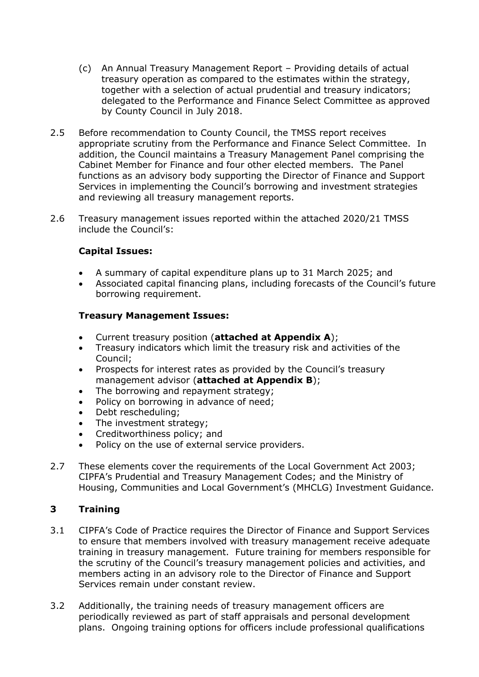- (c) An Annual Treasury Management Report Providing details of actual treasury operation as compared to the estimates within the strategy, together with a selection of actual prudential and treasury indicators; delegated to the Performance and Finance Select Committee as approved by County Council in July 2018.
- 2.5 Before recommendation to County Council, the TMSS report receives appropriate scrutiny from the Performance and Finance Select Committee. In addition, the Council maintains a Treasury Management Panel comprising the Cabinet Member for Finance and four other elected members. The Panel functions as an advisory body supporting the Director of Finance and Support Services in implementing the Council's borrowing and investment strategies and reviewing all treasury management reports.
- 2.6 Treasury management issues reported within the attached 2020/21 TMSS include the Council's:

## **Capital Issues:**

- A summary of capital expenditure plans up to 31 March 2025; and
- Associated capital financing plans, including forecasts of the Council's future borrowing requirement.

### **Treasury Management Issues:**

- Current treasury position (**attached at Appendix A**);
- Treasury indicators which limit the treasury risk and activities of the Council;
- Prospects for interest rates as provided by the Council's treasury management advisor (**attached at Appendix B**);
- The borrowing and repayment strategy;
- Policy on borrowing in advance of need;
- Debt rescheduling;
- The investment strategy;
- Creditworthiness policy; and
- Policy on the use of external service providers.
- 2.7 These elements cover the requirements of the Local Government Act 2003; CIPFA's Prudential and Treasury Management Codes; and the Ministry of Housing, Communities and Local Government's (MHCLG) Investment Guidance.

### **3 Training**

- 3.1 CIPFA's Code of Practice requires the Director of Finance and Support Services to ensure that members involved with treasury management receive adequate training in treasury management. Future training for members responsible for the scrutiny of the Council's treasury management policies and activities, and members acting in an advisory role to the Director of Finance and Support Services remain under constant review.
- 3.2 Additionally, the training needs of treasury management officers are periodically reviewed as part of staff appraisals and personal development plans. Ongoing training options for officers include professional qualifications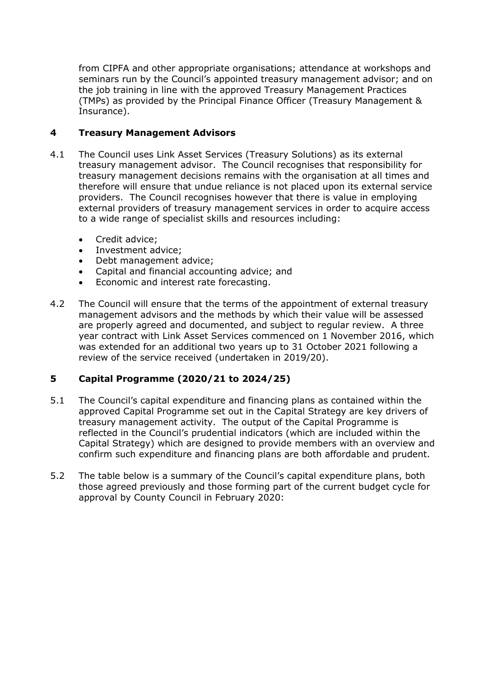from CIPFA and other appropriate organisations; attendance at workshops and seminars run by the Council's appointed treasury management advisor; and on the job training in line with the approved Treasury Management Practices (TMPs) as provided by the Principal Finance Officer (Treasury Management & Insurance).

# **4 Treasury Management Advisors**

- 4.1 The Council uses Link Asset Services (Treasury Solutions) as its external treasury management advisor. The Council recognises that responsibility for treasury management decisions remains with the organisation at all times and therefore will ensure that undue reliance is not placed upon its external service providers. The Council recognises however that there is value in employing external providers of treasury management services in order to acquire access to a wide range of specialist skills and resources including:
	- Credit advice;
	- Investment advice;
	- Debt management advice;
	- Capital and financial accounting advice; and
	- Economic and interest rate forecasting.
- 4.2 The Council will ensure that the terms of the appointment of external treasury management advisors and the methods by which their value will be assessed are properly agreed and documented, and subject to regular review. A three year contract with Link Asset Services commenced on 1 November 2016, which was extended for an additional two years up to 31 October 2021 following a review of the service received (undertaken in 2019/20).

# **5 Capital Programme (2020/21 to 2024/25)**

- 5.1 The Council's capital expenditure and financing plans as contained within the approved Capital Programme set out in the Capital Strategy are key drivers of treasury management activity. The output of the Capital Programme is reflected in the Council's prudential indicators (which are included within the Capital Strategy) which are designed to provide members with an overview and confirm such expenditure and financing plans are both affordable and prudent.
- 5.2 The table below is a summary of the Council's capital expenditure plans, both those agreed previously and those forming part of the current budget cycle for approval by County Council in February 2020: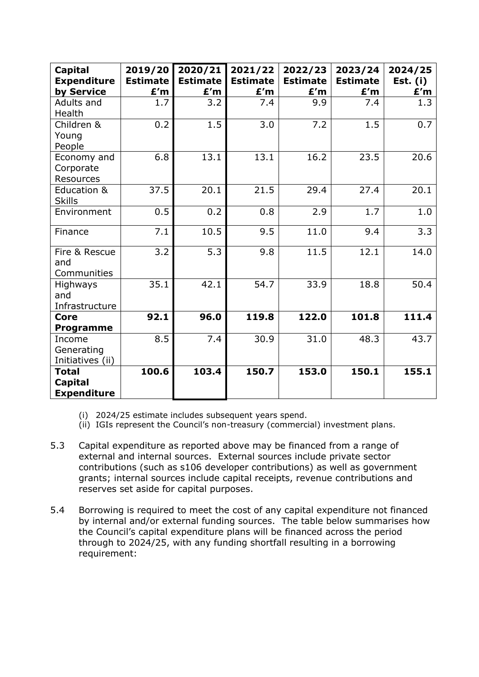| <b>Capital</b><br><b>Expenditure</b><br>by Service   | 2019/20<br><b>Estimate</b><br>E'm | 2020/21<br><b>Estimate</b><br>E'm | 2021/22<br><b>Estimate</b><br>E'm | 2022/23<br><b>Estimate</b><br>E'm | 2023/24<br><b>Estimate</b><br>£'m | 2024/25<br>Est. $(i)$<br>E'm |
|------------------------------------------------------|-----------------------------------|-----------------------------------|-----------------------------------|-----------------------------------|-----------------------------------|------------------------------|
| Adults and<br>Health                                 | 1.7                               | 3.2                               | 7.4                               | 9.9                               | 7.4                               | 1.3                          |
| Children &<br>Young<br>People                        | 0.2                               | 1.5                               | 3.0                               | 7.2                               | 1.5                               | 0.7                          |
| Economy and<br>Corporate<br>Resources                | 6.8                               | 13.1                              | 13.1                              | 16.2                              | 23.5                              | 20.6                         |
| Education &<br><b>Skills</b>                         | 37.5                              | 20.1                              | 21.5                              | 29.4                              | 27.4                              | 20.1                         |
| Environment                                          | 0.5                               | 0.2                               | 0.8                               | 2.9                               | 1.7                               | 1.0                          |
| Finance                                              | 7.1                               | 10.5                              | 9.5                               | 11.0                              | 9.4                               | 3.3                          |
| Fire & Rescue<br>and<br>Communities                  | 3.2                               | 5.3                               | 9.8                               | 11.5                              | 12.1                              | 14.0                         |
| Highways<br>and<br>Infrastructure                    | 35.1                              | 42.1                              | 54.7                              | 33.9                              | 18.8                              | 50.4                         |
| <b>Core</b><br><b>Programme</b>                      | 92.1                              | 96.0                              | 119.8                             | 122.0                             | 101.8                             | 111.4                        |
| Income<br>Generating<br>Initiatives (ii)             | 8.5                               | 7.4                               | 30.9                              | 31.0                              | 48.3                              | 43.7                         |
| <b>Total</b><br><b>Capital</b><br><b>Expenditure</b> | 100.6                             | 103.4                             | 150.7                             | 153.0                             | 150.1                             | 155.1                        |

- (i) 2024/25 estimate includes subsequent years spend.
- (ii) IGIs represent the Council's non-treasury (commercial) investment plans.
- 5.3 Capital expenditure as reported above may be financed from a range of external and internal sources. External sources include private sector contributions (such as s106 developer contributions) as well as government grants; internal sources include capital receipts, revenue contributions and reserves set aside for capital purposes.
- 5.4 Borrowing is required to meet the cost of any capital expenditure not financed by internal and/or external funding sources. The table below summarises how the Council's capital expenditure plans will be financed across the period through to 2024/25, with any funding shortfall resulting in a borrowing requirement: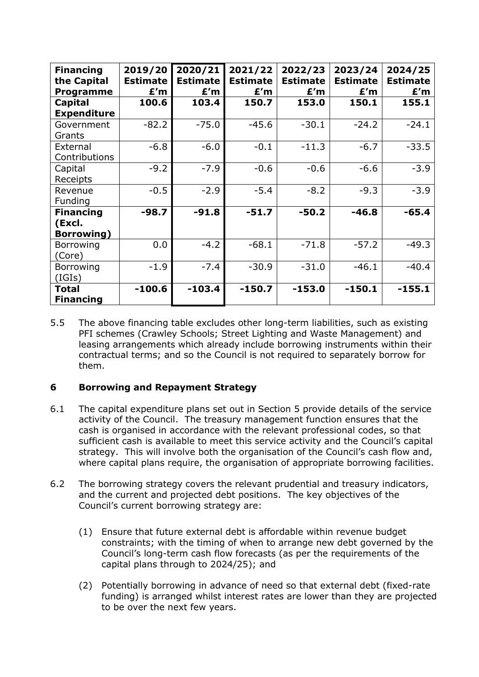| <b>Financing</b><br>the Capital<br><b>Programme</b> | 2019/20<br><b>Estimate</b><br>E'm | 2020/21<br><b>Estimate</b><br>E'm | 2021/22<br><b>Estimate</b><br>E'm | 2022/23<br><b>Estimate</b><br>E'm | 2023/24<br><b>Estimate</b><br>E'm | 2024/25<br><b>Estimate</b><br>E'm |
|-----------------------------------------------------|-----------------------------------|-----------------------------------|-----------------------------------|-----------------------------------|-----------------------------------|-----------------------------------|
| <b>Capital</b><br><b>Expenditure</b>                | 100.6                             | 103.4                             | 150.7                             | 153.0                             | 150.1                             | 155.1                             |
| Government<br>Grants                                | $-82.2$                           | $-75.0$                           | $-45.6$                           | $-30.1$                           | $-24.2$                           | $-24.1$                           |
| External<br>Contributions                           | $-6.8$                            | $-6.0$                            | $-0.1$                            | $-11.3$                           | $-6.7$                            | $-33.5$                           |
| Capital<br>Receipts                                 | $-9.2$                            | $-7.9$                            | $-0.6$                            | $-0.6$                            | $-6.6$                            | $-3.9$                            |
| Revenue<br>Funding                                  | $-0.5$                            | $-2.9$                            | $-5.4$                            | $-8.2$                            | $-9.3$                            | $-3.9$                            |
| <b>Financing</b><br>(Excl.<br><b>Borrowing</b> )    | $-98.7$                           | $-91.8$                           | $-51.7$                           | $-50.2$                           | $-46.8$                           | $-65.4$                           |
| Borrowing<br>(Core)                                 | 0.0                               | $-4.2$                            | $-68.1$                           | $-71.8$                           | $-57.2$                           | $-49.3$                           |
| Borrowing<br>(IGIs)                                 | $-1.9$                            | $-7.4$                            | $-30.9$                           | $-31.0$                           | $-46.1$                           | $-40.4$                           |
| <b>Total</b><br><b>Financing</b>                    | $-100.6$                          | $-103.4$                          | $-150.7$                          | $-153.0$                          | $-150.1$                          | $-155.1$                          |

5.5 The above financing table excludes other long-term liabilities, such as existing PFI schemes (Crawley Schools; Street Lighting and Waste Management) and leasing arrangements which already include borrowing instruments within their contractual terms; and so the Council is not required to separately borrow for them.

# **6 Borrowing and Repayment Strategy**

- 6.1 The capital expenditure plans set out in Section 5 provide details of the service activity of the Council. The treasury management function ensures that the cash is organised in accordance with the relevant professional codes, so that sufficient cash is available to meet this service activity and the Council's capital strategy. This will involve both the organisation of the Council's cash flow and, where capital plans require, the organisation of appropriate borrowing facilities.
- 6.2 The borrowing strategy covers the relevant prudential and treasury indicators, and the current and projected debt positions. The key objectives of the Council's current borrowing strategy are:
	- (1) Ensure that future external debt is affordable within revenue budget constraints; with the timing of when to arrange new debt governed by the Council's long-term cash flow forecasts (as per the requirements of the capital plans through to 2024/25); and
	- (2) Potentially borrowing in advance of need so that external debt (fixed-rate funding) is arranged whilst interest rates are lower than they are projected to be over the next few years.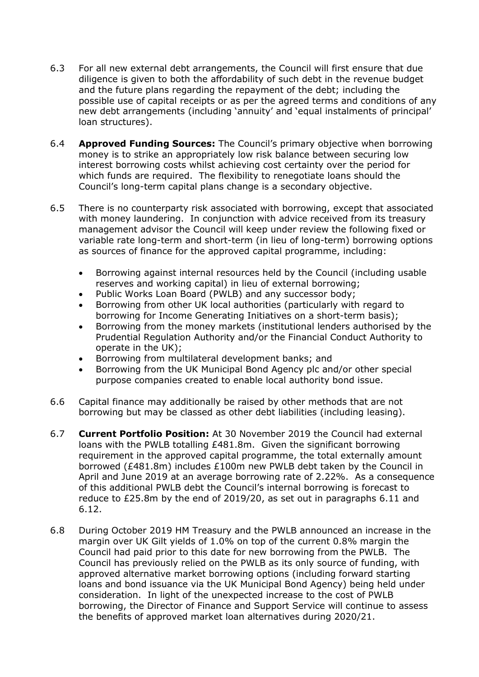- 6.3 For all new external debt arrangements, the Council will first ensure that due diligence is given to both the affordability of such debt in the revenue budget and the future plans regarding the repayment of the debt; including the possible use of capital receipts or as per the agreed terms and conditions of any new debt arrangements (including 'annuity' and 'equal instalments of principal' loan structures).
- 6.4 **Approved Funding Sources:** The Council's primary objective when borrowing money is to strike an appropriately low risk balance between securing low interest borrowing costs whilst achieving cost certainty over the period for which funds are required. The flexibility to renegotiate loans should the Council's long-term capital plans change is a secondary objective.
- 6.5 There is no counterparty risk associated with borrowing, except that associated with money laundering. In conjunction with advice received from its treasury management advisor the Council will keep under review the following fixed or variable rate long-term and short-term (in lieu of long-term) borrowing options as sources of finance for the approved capital programme, including:
	- Borrowing against internal resources held by the Council (including usable reserves and working capital) in lieu of external borrowing;
	- Public Works Loan Board (PWLB) and any successor body;
	- Borrowing from other UK local authorities (particularly with regard to borrowing for Income Generating Initiatives on a short-term basis);
	- Borrowing from the money markets (institutional lenders authorised by the Prudential Regulation Authority and/or the Financial Conduct Authority to operate in the UK);
	- Borrowing from multilateral development banks; and
	- Borrowing from the UK Municipal Bond Agency plc and/or other special purpose companies created to enable local authority bond issue.
- 6.6 Capital finance may additionally be raised by other methods that are not borrowing but may be classed as other debt liabilities (including leasing).
- 6.7 **Current Portfolio Position:** At 30 November 2019 the Council had external loans with the PWLB totalling £481.8m. Given the significant borrowing requirement in the approved capital programme, the total externally amount borrowed (£481.8m) includes £100m new PWLB debt taken by the Council in April and June 2019 at an average borrowing rate of 2.22%. As a consequence of this additional PWLB debt the Council's internal borrowing is forecast to reduce to £25.8m by the end of 2019/20, as set out in paragraphs 6.11 and 6.12.
- 6.8 During October 2019 HM Treasury and the PWLB announced an increase in the margin over UK Gilt yields of 1.0% on top of the current 0.8% margin the Council had paid prior to this date for new borrowing from the PWLB. The Council has previously relied on the PWLB as its only source of funding, with approved alternative market borrowing options (including forward starting loans and bond issuance via the UK Municipal Bond Agency) being held under consideration. In light of the unexpected increase to the cost of PWLB borrowing, the Director of Finance and Support Service will continue to assess the benefits of approved market loan alternatives during 2020/21.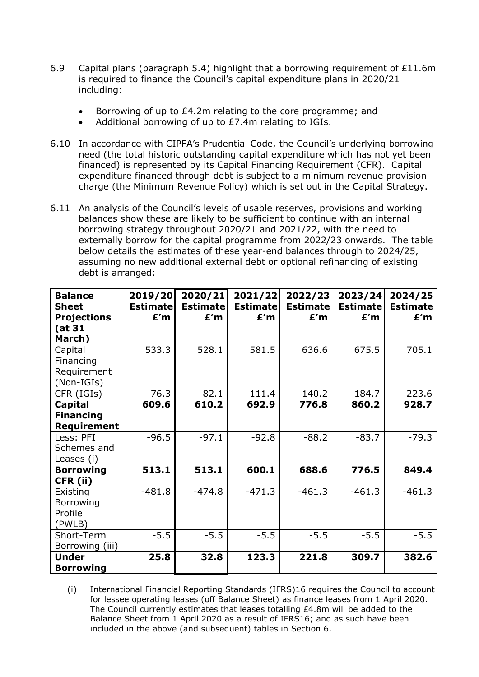- 6.9 Capital plans (paragraph 5.4) highlight that a borrowing requirement of £11.6m is required to finance the Council's capital expenditure plans in 2020/21 including:
	- Borrowing of up to £4.2m relating to the core programme; and
	- Additional borrowing of up to £7.4m relating to IGIs.
- 6.10 In accordance with CIPFA's Prudential Code, the Council's underlying borrowing need (the total historic outstanding capital expenditure which has not yet been financed) is represented by its Capital Financing Requirement (CFR). Capital expenditure financed through debt is subject to a minimum revenue provision charge (the Minimum Revenue Policy) which is set out in the Capital Strategy.
- 6.11 An analysis of the Council's levels of usable reserves, provisions and working balances show these are likely to be sufficient to continue with an internal borrowing strategy throughout 2020/21 and 2021/22, with the need to externally borrow for the capital programme from 2022/23 onwards. The table below details the estimates of these year-end balances through to 2024/25, assuming no new additional external debt or optional refinancing of existing debt is arranged:

| <b>Balance</b><br><b>Sheet</b><br><b>Projections</b><br>(at 31<br>March) | 2019/20<br><b>Estimate</b><br>E'm | 2020/21<br><b>Estimate</b><br>E'm | 2021/22<br><b>Estimate</b><br>E'm | 2022/23<br><b>Estimate</b><br>E'm | 2023/24<br><b>Estimate</b><br>E'm | 2024/25<br><b>Estimate</b><br>E'm |
|--------------------------------------------------------------------------|-----------------------------------|-----------------------------------|-----------------------------------|-----------------------------------|-----------------------------------|-----------------------------------|
| Capital<br>Financing<br>Requirement<br>(Non-IGIs)                        | 533.3                             | 528.1                             | 581.5                             | 636.6                             | 675.5                             | 705.1                             |
| CFR (IGIs)                                                               | 76.3                              | 82.1                              | 111.4                             | 140.2                             | 184.7                             | 223.6                             |
| Capital<br><b>Financing</b><br>Requirement<br>Less: PFI                  | 609.6<br>$-96.5$                  | 610.2<br>$-97.1$                  | 692.9<br>$-92.8$                  | 776.8<br>$-88.2$                  | 860.2<br>$-83.7$                  | 928.7<br>$-79.3$                  |
| Schemes and<br>Leases (i)                                                |                                   |                                   |                                   |                                   |                                   |                                   |
| <b>Borrowing</b><br>CFR (ii)                                             | 513.1                             | 513.1                             | 600.1                             | 688.6                             | 776.5                             | 849.4                             |
| Existing<br>Borrowing<br>Profile<br>(PWLB)                               | $-481.8$                          | $-474.8$                          | $-471.3$                          | $-461.3$                          | $-461.3$                          | $-461.3$                          |
| Short-Term<br>Borrowing (iii)                                            | $-5.5$                            | $-5.5$                            | $-5.5$                            | $-5.5$                            | $-5.5$                            | $-5.5$                            |
| <b>Under</b><br><b>Borrowing</b>                                         | 25.8                              | 32.8                              | 123.3                             | 221.8                             | 309.7                             | 382.6                             |

(i) International Financial Reporting Standards (IFRS)16 requires the Council to account for lessee operating leases (off Balance Sheet) as finance leases from 1 April 2020. The Council currently estimates that leases totalling £4.8m will be added to the Balance Sheet from 1 April 2020 as a result of IFRS16; and as such have been included in the above (and subsequent) tables in Section 6.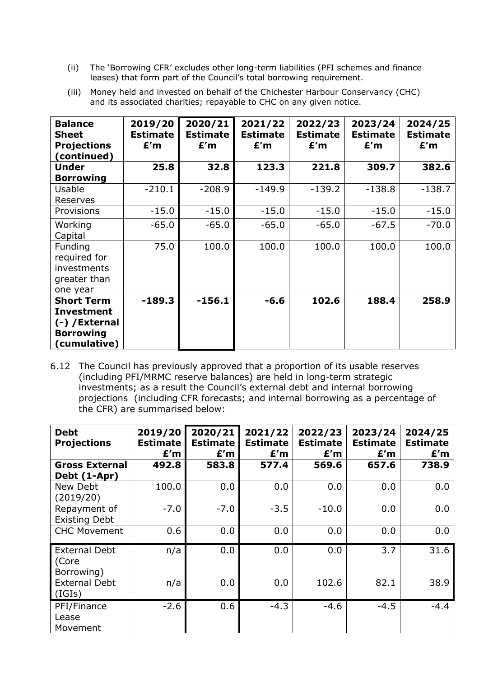(ii) The 'Borrowing CFR' excludes other long-term liabilities (PFI schemes and finance leases) that form part of the Council's total borrowing requirement.

|                         | $\mathcal{L}(\mathcal{L}(\mathcal{L}) \cap \mathcal{L}(\mathcal{L}))$ , $\mathcal{L}(\mathcal{L})$ , $\mathcal{L}(\mathcal{L})$ , $\mathcal{L}(\mathcal{L})$ , $\mathcal{L}(\mathcal{L})$ , $\mathcal{L}(\mathcal{L})$ , $\mathcal{L}(\mathcal{L})$ , $\mathcal{L}(\mathcal{L})$ , $\mathcal{L}(\mathcal{L})$ , $\mathcal{L}(\mathcal{L})$ , $\mathcal{L}(\mathcal{L})$ , $\mathcal{L}(\mathcal{L})$<br>and its associated charities; repayable to CHC on any given notice. |     |                                                                                                                     |     |     |     |  |  |  |
|-------------------------|-----------------------------------------------------------------------------------------------------------------------------------------------------------------------------------------------------------------------------------------------------------------------------------------------------------------------------------------------------------------------------------------------------------------------------------------------------------------------------|-----|---------------------------------------------------------------------------------------------------------------------|-----|-----|-----|--|--|--|
| <b>Balance</b><br>Sheet | <b>Estimate</b> I                                                                                                                                                                                                                                                                                                                                                                                                                                                           |     | $2019/20$   2020/21   2021/22   2022/23   2023/24   2024/25<br>Estimate   Estimate   Estimate   Estimate   Estimate |     |     |     |  |  |  |
| <b>Projections</b>      | E'm                                                                                                                                                                                                                                                                                                                                                                                                                                                                         | E'm | E'm                                                                                                                 | E'm | E'm | E'm |  |  |  |

Provisions | -15.0 -15.0 -15.0 -15.0 -15.0 -15.0 -15.0

**25.8 32.8 123.3 221.8 309.7 382.6**

-210.1 -208.9 -149.9 -139.2 -138.8 -138.7

-65.0 | -65.0 | -65.0 | -65.0 | -67.5 | -70.0

75.0 100.0 100.0 100.0 100.0 100.0

**-189.3 -156.1 -6.6 102.6 188.4 258.9**

(iii) Money held and invested on behalf of the Chichester Harbour Conservancy (CHC)

**(continued)**

**Under Borrowing**

Usable Reserves

**Working** Capital

Funding required for investments greater than one year

**Short Term Investment (-) /External Borrowing (cumulative)**

| 6.12 The Council has previously approved that a proportion of its usable reserves |
|-----------------------------------------------------------------------------------|
| (including PFI/MRMC reserve balances) are held in long-term strategic             |
| investments; as a result the Council's external debt and internal borrowing       |
| projections (including CFR forecasts; and internal borrowing as a percentage of   |
| the CFR) are summarised below:                                                    |

| <b>Debt</b><br><b>Projections</b>           | 2019/20<br><b>Estimate</b><br>E'm | 2020/21<br><b>Estimate</b><br>E'm | 2021/22<br><b>Estimate</b><br>E'm | 2022/23<br><b>Estimate</b><br>E'm | 2023/24<br><b>Estimate</b><br>E'm | 2024/25<br><b>Estimate</b><br>E'm |
|---------------------------------------------|-----------------------------------|-----------------------------------|-----------------------------------|-----------------------------------|-----------------------------------|-----------------------------------|
| <b>Gross External</b><br>Debt (1-Apr)       | 492.8                             | 583.8                             | 577.4                             | 569.6                             | 657.6                             | 738.9                             |
| New Debt<br>(2019/20)                       | 100.0                             | 0.0                               | 0.0                               | 0.0                               | 0.0                               | 0.0                               |
| Repayment of<br><b>Existing Debt</b>        | $-7.0$                            | $-7.0$                            | $-3.5$                            | $-10.0$                           | 0.0                               | 0.0                               |
| <b>CHC Movement</b>                         | 0.6                               | 0.0                               | 0.0                               | 0.0                               | 0.0                               | 0.0                               |
| <b>External Debt</b><br>(Core<br>Borrowing) | n/a                               | 0.0                               | 0.0                               | 0.0                               | 3.7                               | 31.6                              |
| <b>External Debt</b><br>(IGIs)              | n/a                               | 0.0                               | 0.0                               | 102.6                             | 82.1                              | 38.9                              |
| PFI/Finance<br>Lease<br>Movement            | $-2.6$                            | 0.6                               | $-4.3$                            | $-4.6$                            | $-4.5$                            | $-4.4$                            |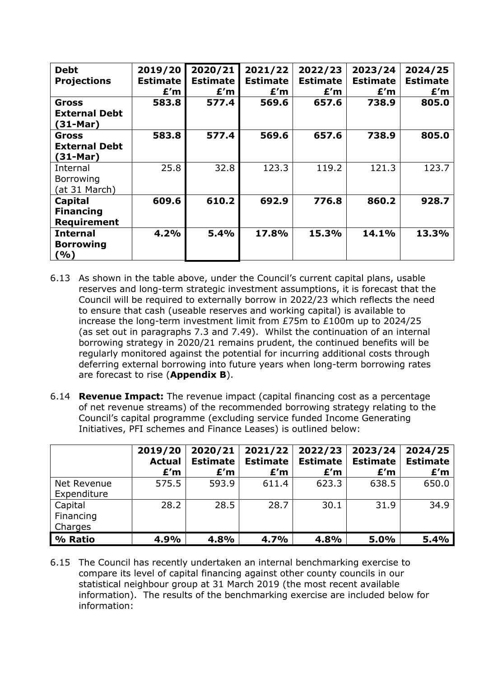| <b>Debt</b><br><b>Projections</b>                  | 2019/20<br><b>Estimate</b><br>E'm | 2020/21<br><b>Estimate</b><br>E'm | 2021/22<br><b>Estimate</b><br>E'm | 2022/23<br><b>Estimate</b><br>E'm | 2023/24<br><b>Estimate</b><br>E'm | 2024/25<br><b>Estimate</b><br>E'm |
|----------------------------------------------------|-----------------------------------|-----------------------------------|-----------------------------------|-----------------------------------|-----------------------------------|-----------------------------------|
| Gross<br><b>External Debt</b><br>$(31-Mar)$        | 583.8                             | 577.4                             | 569.6                             | 657.6                             | 738.9                             | 805.0                             |
| <b>Gross</b><br><b>External Debt</b><br>$(31-Mar)$ | 583.8                             | 577.4                             | 569.6                             | 657.6                             | 738.9                             | 805.0                             |
| Internal<br>Borrowing<br>(at 31 March)             | 25.8                              | 32.8                              | 123.3                             | 119.2                             | 121.3                             | 123.7                             |
| Capital<br><b>Financing</b><br><b>Requirement</b>  | 609.6                             | 610.2                             | 692.9                             | 776.8                             | 860.2                             | 928.7                             |
| <b>Internal</b><br><b>Borrowing</b><br>(9/0)       | 4.2%                              | 5.4%                              | 17.8%                             | 15.3%                             | 14.1%                             | 13.3%                             |

- 6.13 As shown in the table above, under the Council's current capital plans, usable reserves and long-term strategic investment assumptions, it is forecast that the Council will be required to externally borrow in 2022/23 which reflects the need to ensure that cash (useable reserves and working capital) is available to increase the long-term investment limit from £75m to £100m up to 2024/25 (as set out in paragraphs 7.3 and 7.49). Whilst the continuation of an internal borrowing strategy in 2020/21 remains prudent, the continued benefits will be regularly monitored against the potential for incurring additional costs through deferring external borrowing into future years when long-term borrowing rates are forecast to rise (**Appendix B**).
- 6.14 **Revenue Impact:** The revenue impact (capital financing cost as a percentage of net revenue streams) of the recommended borrowing strategy relating to the Council's capital programme (excluding service funded Income Generating Initiatives, PFI schemes and Finance Leases) is outlined below:

|                                 | 2019/20<br><b>Actual</b><br>E'm | 2020/21<br><b>Estimate</b><br>E'm | 2021/22<br><b>Estimate</b><br>E'm | 2022/23<br><b>Estimate</b><br>E'm | 2023/24<br><b>Estimate</b><br>E'm | 2024/25<br><b>Estimate</b><br>E'm |
|---------------------------------|---------------------------------|-----------------------------------|-----------------------------------|-----------------------------------|-----------------------------------|-----------------------------------|
| Net Revenue<br>Expenditure      | 575.5                           | 593.9                             | 611.4                             | 623.3                             | 638.5                             | 650.0                             |
| Capital<br>Financing<br>Charges | 28.2                            | 28.5                              | 28.7                              | 30.1                              | 31.9                              | 34.9                              |
| % Ratio                         | 4.9%                            | 4.8%                              | 4.7%                              | 4.8%                              | 5.0%                              | 5.4%                              |

6.15 The Council has recently undertaken an internal benchmarking exercise to compare its level of capital financing against other county councils in our statistical neighbour group at 31 March 2019 (the most recent available information). The results of the benchmarking exercise are included below for information: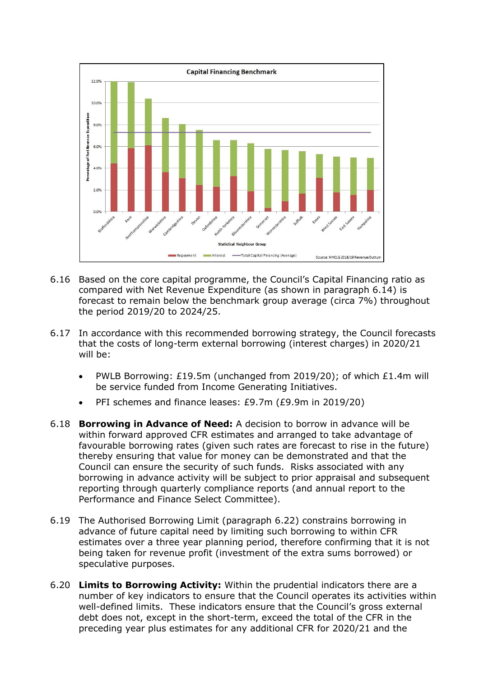

- 6.16 Based on the core capital programme, the Council's Capital Financing ratio as compared with Net Revenue Expenditure (as shown in paragraph 6.14) is forecast to remain below the benchmark group average (circa 7%) throughout the period 2019/20 to 2024/25.
- 6.17 In accordance with this recommended borrowing strategy, the Council forecasts that the costs of long-term external borrowing (interest charges) in 2020/21 will be:
	- PWLB Borrowing: £19.5m (unchanged from 2019/20); of which £1.4m will be service funded from Income Generating Initiatives.
	- PFI schemes and finance leases: £9.7m (£9.9m in 2019/20)
- 6.18 **Borrowing in Advance of Need:** A decision to borrow in advance will be within forward approved CFR estimates and arranged to take advantage of favourable borrowing rates (given such rates are forecast to rise in the future) thereby ensuring that value for money can be demonstrated and that the Council can ensure the security of such funds. Risks associated with any borrowing in advance activity will be subject to prior appraisal and subsequent reporting through quarterly compliance reports (and annual report to the Performance and Finance Select Committee).
- 6.19 The Authorised Borrowing Limit (paragraph 6.22) constrains borrowing in advance of future capital need by limiting such borrowing to within CFR estimates over a three year planning period, therefore confirming that it is not being taken for revenue profit (investment of the extra sums borrowed) or speculative purposes.
- 6.20 **Limits to Borrowing Activity:** Within the prudential indicators there are a number of key indicators to ensure that the Council operates its activities within well-defined limits. These indicators ensure that the Council's gross external debt does not, except in the short-term, exceed the total of the CFR in the preceding year plus estimates for any additional CFR for 2020/21 and the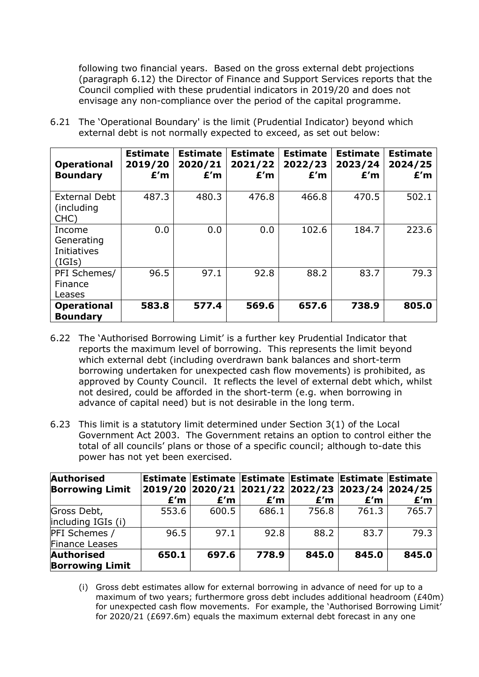following two financial years. Based on the gross external debt projections (paragraph 6.12) the Director of Finance and Support Services reports that the Council complied with these prudential indicators in 2019/20 and does not envisage any non-compliance over the period of the capital programme.

6.21 The 'Operational Boundary' is the limit (Prudential Indicator) beyond which external debt is not normally expected to exceed, as set out below:

| <b>Operational</b><br><b>Boundary</b>                | <b>Estimate</b><br>2019/20<br>E'm | <b>Estimate</b><br>2020/21<br>E'm | <b>Estimate</b><br>2021/22<br>E'm | <b>Estimate</b><br>2022/23<br>E'm | <b>Estimate</b><br>2023/24<br>E'm | <b>Estimate</b><br>2024/25<br>E'm |
|------------------------------------------------------|-----------------------------------|-----------------------------------|-----------------------------------|-----------------------------------|-----------------------------------|-----------------------------------|
| <b>External Debt</b><br>(including<br>CHC)           | 487.3                             | 480.3                             | 476.8                             | 466.8                             | 470.5                             | 502.1                             |
| Income<br>Generating<br><b>Initiatives</b><br>(IGIs) | 0.0                               | 0.0                               | 0.0                               | 102.6                             | 184.7                             | 223.6                             |
| PFI Schemes/<br>Finance<br>Leases                    | 96.5                              | 97.1                              | 92.8                              | 88.2                              | 83.7                              | 79.3                              |
| <b>Operational</b><br><b>Boundary</b>                | 583.8                             | 577.4                             | 569.6                             | 657.6                             | 738.9                             | 805.0                             |

- 6.22 The 'Authorised Borrowing Limit' is a further key Prudential Indicator that reports the maximum level of borrowing. This represents the limit beyond which external debt (including overdrawn bank balances and short-term borrowing undertaken for unexpected cash flow movements) is prohibited, as approved by County Council. It reflects the level of external debt which, whilst not desired, could be afforded in the short-term (e.g. when borrowing in advance of capital need) but is not desirable in the long term.
- 6.23 This limit is a statutory limit determined under Section 3(1) of the Local Government Act 2003. The Government retains an option to control either the total of all councils' plans or those of a specific council; although to-date this power has not yet been exercised.

| <b>Authorised</b><br><b>Borrowing Limit</b> |       | Estimate Estimate Estimate Estimate Estimate Estimate<br>2019/20 2020/21 2021/22 2022/23 2023/24 2024/25 |       |       |       |       |
|---------------------------------------------|-------|----------------------------------------------------------------------------------------------------------|-------|-------|-------|-------|
|                                             | E'm   | E'm                                                                                                      | E'm   | E'm   | E'm   | E'm   |
| Gross Debt,<br>including IGIs (i)           | 553.6 | 600.5                                                                                                    | 686.1 | 756.8 | 761.3 | 765.7 |
| PFI Schemes /<br><b>Finance Leases</b>      | 96.5  | 97.1                                                                                                     | 92.8  | 88.2  | 83.7  | 79.3  |
| <b>Authorised</b><br><b>Borrowing Limit</b> | 650.1 | 697.6                                                                                                    | 778.9 | 845.0 | 845.0 | 845.0 |

(i) Gross debt estimates allow for external borrowing in advance of need for up to a maximum of two years; furthermore gross debt includes additional headroom (£40m) for unexpected cash flow movements. For example, the 'Authorised Borrowing Limit' for 2020/21 (£697.6m) equals the maximum external debt forecast in any one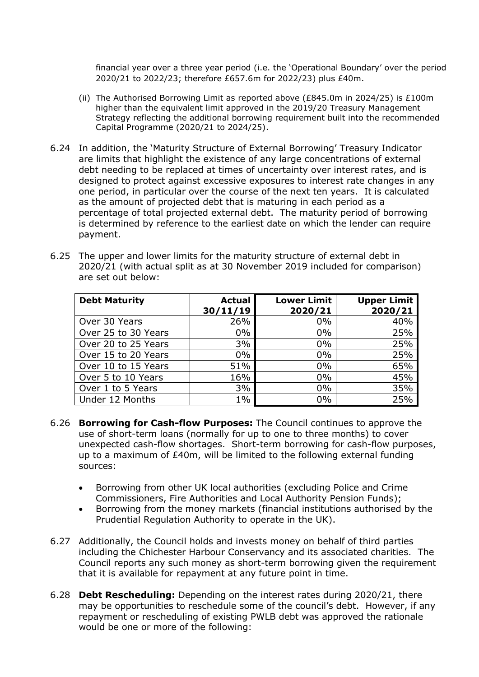financial year over a three year period (i.e. the 'Operational Boundary' over the period 2020/21 to 2022/23; therefore £657.6m for 2022/23) plus £40m.

- (ii) The Authorised Borrowing Limit as reported above (£845.0m in 2024/25) is £100m higher than the equivalent limit approved in the 2019/20 Treasury Management Strategy reflecting the additional borrowing requirement built into the recommended Capital Programme (2020/21 to 2024/25).
- 6.24 In addition, the 'Maturity Structure of External Borrowing' Treasury Indicator are limits that highlight the existence of any large concentrations of external debt needing to be replaced at times of uncertainty over interest rates, and is designed to protect against excessive exposures to interest rate changes in any one period, in particular over the course of the next ten years. It is calculated as the amount of projected debt that is maturing in each period as a percentage of total projected external debt. The maturity period of borrowing is determined by reference to the earliest date on which the lender can require payment.

| 6.25 The upper and lower limits for the maturity structure of external debt in |
|--------------------------------------------------------------------------------|
| 2020/21 (with actual split as at 30 November 2019 included for comparison)     |
| are set out below:                                                             |

| <b>Debt Maturity</b> | <b>Actual</b><br>30/11/19 | <b>Lower Limit</b><br>2020/21 | <b>Upper Limit</b><br>2020/21 |
|----------------------|---------------------------|-------------------------------|-------------------------------|
| Over 30 Years        | 26%                       | $0\%$                         | 40%                           |
| Over 25 to 30 Years  | $0\%$                     | $0\%$                         | 25%                           |
| Over 20 to 25 Years  | 3%                        | $0\%$                         | 25%                           |
| Over 15 to 20 Years  | $0\%$                     | $0\%$                         | 25%                           |
| Over 10 to 15 Years  | 51%                       | $0\%$                         | 65%                           |
| Over 5 to 10 Years   | 16%                       | $0\%$                         | 45%                           |
| Over 1 to 5 Years    | 3%                        | $0\%$                         | 35%                           |
| Under 12 Months      | $1\%$                     | 0%                            | 25%                           |

- 6.26 **Borrowing for Cash-flow Purposes:** The Council continues to approve the use of short-term loans (normally for up to one to three months) to cover unexpected cash-flow shortages. Short-term borrowing for cash-flow purposes, up to a maximum of £40m, will be limited to the following external funding sources:
	- Borrowing from other UK local authorities (excluding Police and Crime Commissioners, Fire Authorities and Local Authority Pension Funds);
	- Borrowing from the money markets (financial institutions authorised by the Prudential Regulation Authority to operate in the UK).
- 6.27 Additionally, the Council holds and invests money on behalf of third parties including the Chichester Harbour Conservancy and its associated charities. The Council reports any such money as short-term borrowing given the requirement that it is available for repayment at any future point in time.
- 6.28 **Debt Rescheduling:** Depending on the interest rates during 2020/21, there may be opportunities to reschedule some of the council's debt. However, if any repayment or rescheduling of existing PWLB debt was approved the rationale would be one or more of the following: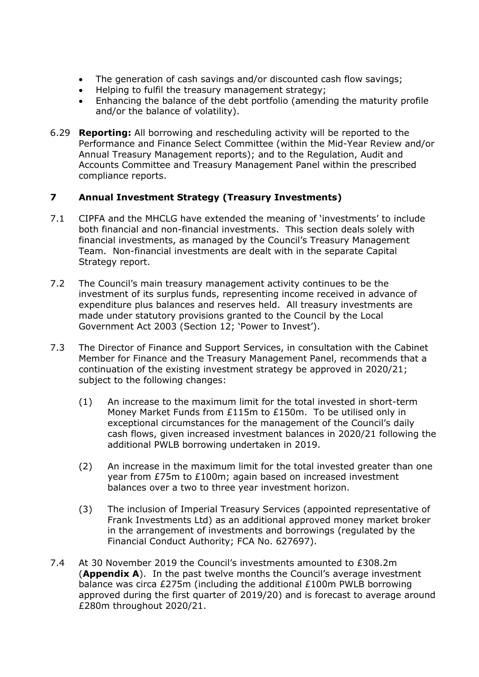- The generation of cash savings and/or discounted cash flow savings;
- Helping to fulfil the treasury management strategy;
- Enhancing the balance of the debt portfolio (amending the maturity profile and/or the balance of volatility).
- 6.29 **Reporting:** All borrowing and rescheduling activity will be reported to the Performance and Finance Select Committee (within the Mid-Year Review and/or Annual Treasury Management reports); and to the Regulation, Audit and Accounts Committee and Treasury Management Panel within the prescribed compliance reports.

# **7 Annual Investment Strategy (Treasury Investments)**

- 7.1 CIPFA and the MHCLG have extended the meaning of 'investments' to include both financial and non-financial investments. This section deals solely with financial investments, as managed by the Council's Treasury Management Team. Non-financial investments are dealt with in the separate Capital Strategy report.
- 7.2 The Council's main treasury management activity continues to be the investment of its surplus funds, representing income received in advance of expenditure plus balances and reserves held. All treasury investments are made under statutory provisions granted to the Council by the Local Government Act 2003 (Section 12; 'Power to Invest').
- 7.3 The Director of Finance and Support Services, in consultation with the Cabinet Member for Finance and the Treasury Management Panel, recommends that a continuation of the existing investment strategy be approved in 2020/21; subject to the following changes:
	- (1) An increase to the maximum limit for the total invested in short-term Money Market Funds from £115m to £150m. To be utilised only in exceptional circumstances for the management of the Council's daily cash flows, given increased investment balances in 2020/21 following the additional PWLB borrowing undertaken in 2019.
	- (2) An increase in the maximum limit for the total invested greater than one year from £75m to £100m; again based on increased investment balances over a two to three year investment horizon.
	- (3) The inclusion of Imperial Treasury Services (appointed representative of Frank Investments Ltd) as an additional approved money market broker in the arrangement of investments and borrowings (regulated by the Financial Conduct Authority; FCA No. 627697).
- 7.4 At 30 November 2019 the Council's investments amounted to £308.2m (**Appendix A**). In the past twelve months the Council's average investment balance was circa £275m (including the additional £100m PWLB borrowing approved during the first quarter of 2019/20) and is forecast to average around £280m throughout 2020/21.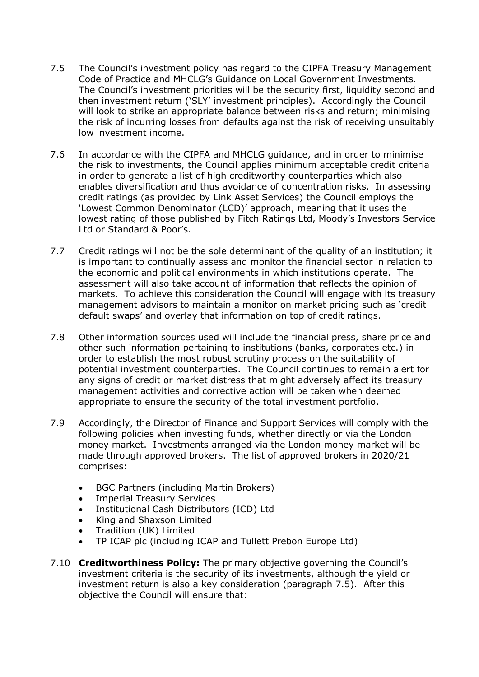- 7.5 The Council's investment policy has regard to the CIPFA Treasury Management Code of Practice and MHCLG's Guidance on Local Government Investments. The Council's investment priorities will be the security first, liquidity second and then investment return ('SLY' investment principles). Accordingly the Council will look to strike an appropriate balance between risks and return; minimising the risk of incurring losses from defaults against the risk of receiving unsuitably low investment income.
- 7.6 In accordance with the CIPFA and MHCLG guidance, and in order to minimise the risk to investments, the Council applies minimum acceptable credit criteria in order to generate a list of high creditworthy counterparties which also enables diversification and thus avoidance of concentration risks. In assessing credit ratings (as provided by Link Asset Services) the Council employs the 'Lowest Common Denominator (LCD)' approach, meaning that it uses the lowest rating of those published by Fitch Ratings Ltd, Moody's Investors Service Ltd or Standard & Poor's.
- 7.7 Credit ratings will not be the sole determinant of the quality of an institution; it is important to continually assess and monitor the financial sector in relation to the economic and political environments in which institutions operate. The assessment will also take account of information that reflects the opinion of markets. To achieve this consideration the Council will engage with its treasury management advisors to maintain a monitor on market pricing such as 'credit default swaps' and overlay that information on top of credit ratings.
- 7.8 Other information sources used will include the financial press, share price and other such information pertaining to institutions (banks, corporates etc.) in order to establish the most robust scrutiny process on the suitability of potential investment counterparties. The Council continues to remain alert for any signs of credit or market distress that might adversely affect its treasury management activities and corrective action will be taken when deemed appropriate to ensure the security of the total investment portfolio.
- 7.9 Accordingly, the Director of Finance and Support Services will comply with the following policies when investing funds, whether directly or via the London money market. Investments arranged via the London money market will be made through approved brokers. The list of approved brokers in 2020/21 comprises:
	- BGC Partners (including Martin Brokers)
	- **Imperial Treasury Services**
	- Institutional Cash Distributors (ICD) Ltd
	- King and Shaxson Limited
	- Tradition (UK) Limited
	- TP ICAP plc (including ICAP and Tullett Prebon Europe Ltd)
- 7.10 **Creditworthiness Policy:** The primary objective governing the Council's investment criteria is the security of its investments, although the yield or investment return is also a key consideration (paragraph 7.5). After this objective the Council will ensure that: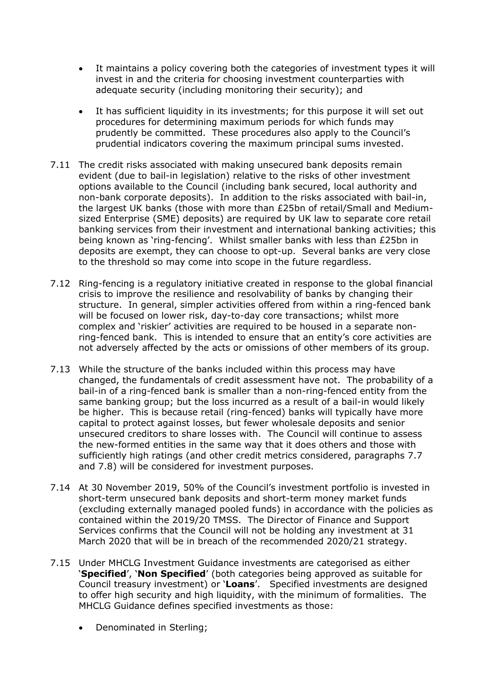- It maintains a policy covering both the categories of investment types it will invest in and the criteria for choosing investment counterparties with adequate security (including monitoring their security); and
- It has sufficient liquidity in its investments; for this purpose it will set out procedures for determining maximum periods for which funds may prudently be committed. These procedures also apply to the Council's prudential indicators covering the maximum principal sums invested.
- 7.11 The credit risks associated with making unsecured bank deposits remain evident (due to bail-in legislation) relative to the risks of other investment options available to the Council (including bank secured, local authority and non-bank corporate deposits). In addition to the risks associated with bail-in, the largest UK banks (those with more than £25bn of retail/Small and Mediumsized Enterprise (SME) deposits) are required by UK law to separate core retail banking services from their investment and international banking activities; this being known as 'ring-fencing'. Whilst smaller banks with less than £25bn in deposits are exempt, they can choose to opt-up. Several banks are very close to the threshold so may come into scope in the future regardless.
- 7.12 Ring-fencing is a regulatory initiative created in response to the global financial crisis to improve the resilience and resolvability of banks by changing their structure. In general, simpler activities offered from within a ring-fenced bank will be focused on lower risk, day-to-day core transactions; whilst more complex and 'riskier' activities are required to be housed in a separate nonring-fenced bank. This is intended to ensure that an entity's core activities are not adversely affected by the acts or omissions of other members of its group.
- 7.13 While the structure of the banks included within this process may have changed, the fundamentals of credit assessment have not. The probability of a bail-in of a ring-fenced bank is smaller than a non-ring-fenced entity from the same banking group; but the loss incurred as a result of a bail-in would likely be higher. This is because retail (ring-fenced) banks will typically have more capital to protect against losses, but fewer wholesale deposits and senior unsecured creditors to share losses with. The Council will continue to assess the new-formed entities in the same way that it does others and those with sufficiently high ratings (and other credit metrics considered, paragraphs 7.7 and 7.8) will be considered for investment purposes.
- 7.14 At 30 November 2019, 50% of the Council's investment portfolio is invested in short-term unsecured bank deposits and short-term money market funds (excluding externally managed pooled funds) in accordance with the policies as contained within the 2019/20 TMSS. The Director of Finance and Support Services confirms that the Council will not be holding any investment at 31 March 2020 that will be in breach of the recommended 2020/21 strategy.
- 7.15 Under MHCLG Investment Guidance investments are categorised as either '**Specified**', '**Non Specified**' (both categories being approved as suitable for Council treasury investment) or '**Loans**'. Specified investments are designed to offer high security and high liquidity, with the minimum of formalities. The MHCLG Guidance defines specified investments as those:
	- Denominated in Sterling;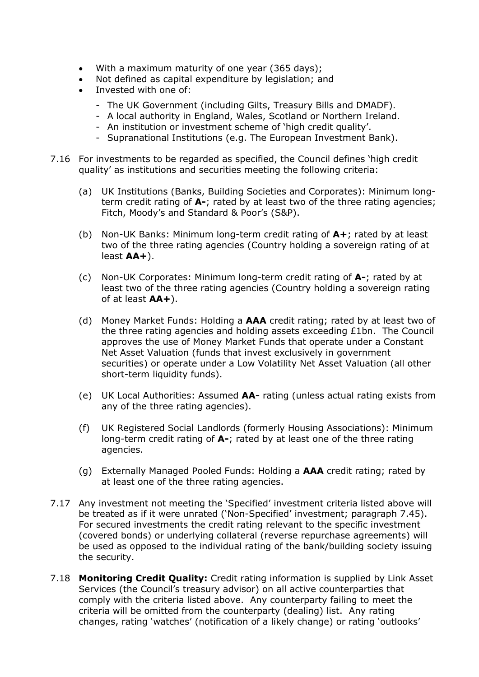- With a maximum maturity of one year (365 days);
- Not defined as capital expenditure by legislation; and
- Invested with one of:
	- The UK Government (including Gilts, Treasury Bills and DMADF).
	- A local authority in England, Wales, Scotland or Northern Ireland.
	- An institution or investment scheme of 'high credit quality'.
	- Supranational Institutions (e.g. The European Investment Bank).
- 7.16 For investments to be regarded as specified, the Council defines 'high credit quality' as institutions and securities meeting the following criteria:
	- (a) UK Institutions (Banks, Building Societies and Corporates): Minimum longterm credit rating of **A-**; rated by at least two of the three rating agencies; Fitch, Moody's and Standard & Poor's (S&P).
	- (b) Non-UK Banks: Minimum long-term credit rating of **A+**; rated by at least two of the three rating agencies (Country holding a sovereign rating of at least **AA+**).
	- (c) Non-UK Corporates: Minimum long-term credit rating of **A-**; rated by at least two of the three rating agencies (Country holding a sovereign rating of at least **AA+**).
	- (d) Money Market Funds: Holding a **AAA** credit rating; rated by at least two of the three rating agencies and holding assets exceeding £1bn. The Council approves the use of Money Market Funds that operate under a Constant Net Asset Valuation (funds that invest exclusively in government securities) or operate under a Low Volatility Net Asset Valuation (all other short-term liquidity funds).
	- (e) UK Local Authorities: Assumed **AA-** rating (unless actual rating exists from any of the three rating agencies).
	- (f) UK Registered Social Landlords (formerly Housing Associations): Minimum long-term credit rating of **A-**; rated by at least one of the three rating agencies.
	- (g) Externally Managed Pooled Funds: Holding a **AAA** credit rating; rated by at least one of the three rating agencies.
- 7.17 Any investment not meeting the 'Specified' investment criteria listed above will be treated as if it were unrated ('Non-Specified' investment; paragraph 7.45). For secured investments the credit rating relevant to the specific investment (covered bonds) or underlying collateral (reverse repurchase agreements) will be used as opposed to the individual rating of the bank/building society issuing the security.
- 7.18 **Monitoring Credit Quality:** Credit rating information is supplied by Link Asset Services (the Council's treasury advisor) on all active counterparties that comply with the criteria listed above. Any counterparty failing to meet the criteria will be omitted from the counterparty (dealing) list. Any rating changes, rating 'watches' (notification of a likely change) or rating 'outlooks'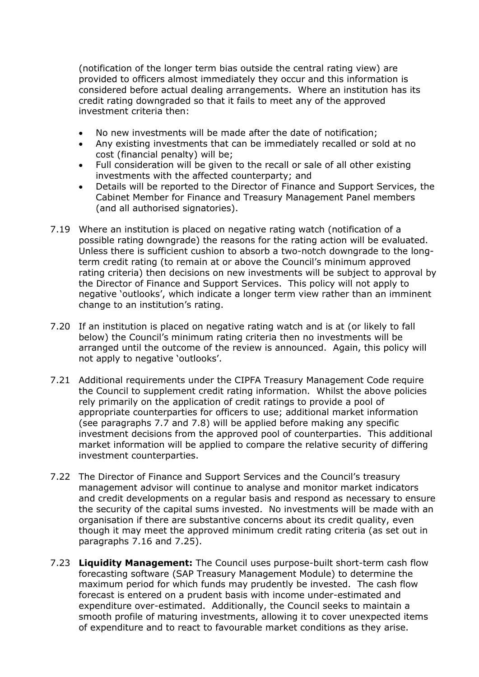(notification of the longer term bias outside the central rating view) are provided to officers almost immediately they occur and this information is considered before actual dealing arrangements. Where an institution has its credit rating downgraded so that it fails to meet any of the approved investment criteria then:

- No new investments will be made after the date of notification;
- Any existing investments that can be immediately recalled or sold at no cost (financial penalty) will be;
- Full consideration will be given to the recall or sale of all other existing investments with the affected counterparty; and
- Details will be reported to the Director of Finance and Support Services, the Cabinet Member for Finance and Treasury Management Panel members (and all authorised signatories).
- 7.19 Where an institution is placed on negative rating watch (notification of a possible rating downgrade) the reasons for the rating action will be evaluated. Unless there is sufficient cushion to absorb a two-notch downgrade to the longterm credit rating (to remain at or above the Council's minimum approved rating criteria) then decisions on new investments will be subject to approval by the Director of Finance and Support Services. This policy will not apply to negative 'outlooks', which indicate a longer term view rather than an imminent change to an institution's rating.
- 7.20 If an institution is placed on negative rating watch and is at (or likely to fall below) the Council's minimum rating criteria then no investments will be arranged until the outcome of the review is announced. Again, this policy will not apply to negative 'outlooks'.
- 7.21 Additional requirements under the CIPFA Treasury Management Code require the Council to supplement credit rating information. Whilst the above policies rely primarily on the application of credit ratings to provide a pool of appropriate counterparties for officers to use; additional market information (see paragraphs 7.7 and 7.8) will be applied before making any specific investment decisions from the approved pool of counterparties. This additional market information will be applied to compare the relative security of differing investment counterparties.
- 7.22 The Director of Finance and Support Services and the Council's treasury management advisor will continue to analyse and monitor market indicators and credit developments on a regular basis and respond as necessary to ensure the security of the capital sums invested. No investments will be made with an organisation if there are substantive concerns about its credit quality, even though it may meet the approved minimum credit rating criteria (as set out in paragraphs 7.16 and 7.25).
- 7.23 **Liquidity Management:** The Council uses purpose-built short-term cash flow forecasting software (SAP Treasury Management Module) to determine the maximum period for which funds may prudently be invested. The cash flow forecast is entered on a prudent basis with income under-estimated and expenditure over-estimated. Additionally, the Council seeks to maintain a smooth profile of maturing investments, allowing it to cover unexpected items of expenditure and to react to favourable market conditions as they arise.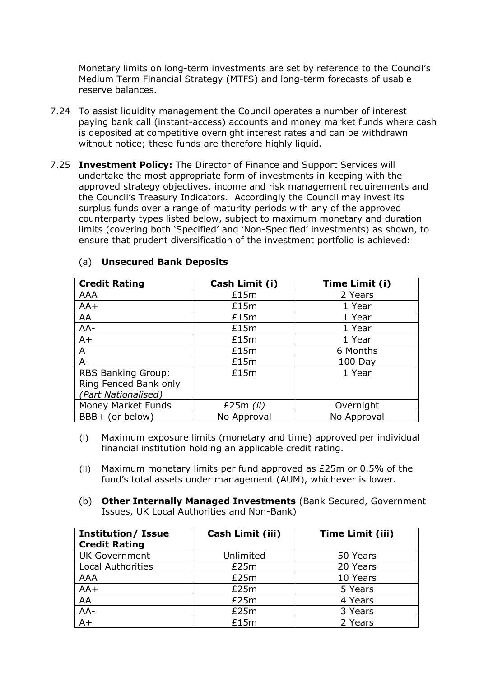Monetary limits on long-term investments are set by reference to the Council's Medium Term Financial Strategy (MTFS) and long-term forecasts of usable reserve balances.

- 7.24 To assist liquidity management the Council operates a number of interest paying bank call (instant-access) accounts and money market funds where cash is deposited at competitive overnight interest rates and can be withdrawn without notice; these funds are therefore highly liquid.
- 7.25 **Investment Policy:** The Director of Finance and Support Services will undertake the most appropriate form of investments in keeping with the approved strategy objectives, income and risk management requirements and the Council's Treasury Indicators. Accordingly the Council may invest its surplus funds over a range of maturity periods with any of the approved counterparty types listed below, subject to maximum monetary and duration limits (covering both 'Specified' and 'Non-Specified' investments) as shown, to ensure that prudent diversification of the investment portfolio is achieved:

| <b>Credit Rating</b>      | Cash Limit (i) | Time Limit (i) |
|---------------------------|----------------|----------------|
| <b>AAA</b>                | £15m           | 2 Years        |
| $AA+$                     | £15m           | 1 Year         |
| AA                        | £15m           | 1 Year         |
| AA-                       | £15m           | 1 Year         |
| $A+$                      | £15m           | 1 Year         |
| A                         | £15m           | 6 Months       |
| $A -$                     | £15m           | 100 Day        |
| RBS Banking Group:        | £15m           | 1 Year         |
| Ring Fenced Bank only     |                |                |
| (Part Nationalised)       |                |                |
| <b>Money Market Funds</b> | £25 $m$ (ii)   | Overnight      |
| BBB+ (or below)           | No Approval    | No Approval    |

### (a) **Unsecured Bank Deposits**

- (i) Maximum exposure limits (monetary and time) approved per individual financial institution holding an applicable credit rating.
- (ii) Maximum monetary limits per fund approved as £25m or 0.5% of the fund's total assets under management (AUM), whichever is lower.
- (b) **Other Internally Managed Investments** (Bank Secured, Government Issues, UK Local Authorities and Non-Bank)

| <b>Institution/ Issue</b><br><b>Credit Rating</b> | Cash Limit (iii) | <b>Time Limit (iii)</b> |
|---------------------------------------------------|------------------|-------------------------|
| <b>UK Government</b>                              | Unlimited        | 50 Years                |
| <b>Local Authorities</b>                          | £25m             | 20 Years                |
| <b>AAA</b>                                        | £25m             | 10 Years                |
| $AA+$                                             | £25m             | 5 Years                 |
| AA                                                | £25m             | 4 Years                 |
| $AA-$                                             | £25m             | 3 Years                 |
| $A+$                                              | £15m             | 2 Years                 |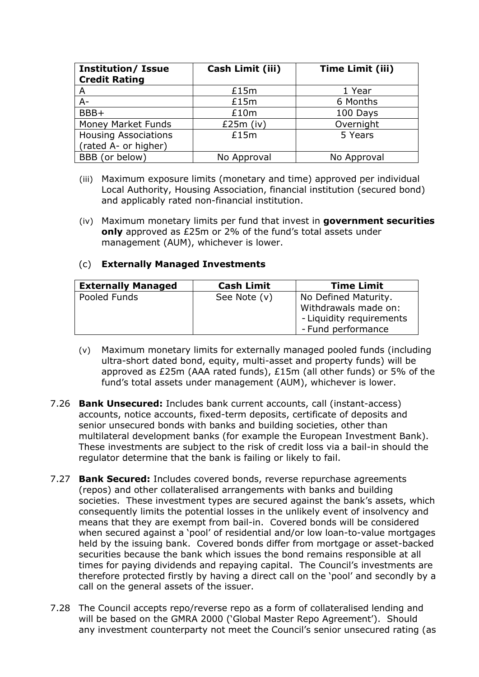| <b>Institution/ Issue</b><br><b>Credit Rating</b> | Cash Limit (iii) | <b>Time Limit (iii)</b> |
|---------------------------------------------------|------------------|-------------------------|
| A                                                 | £15m             | 1 Year                  |
| $A -$                                             | £15m             | 6 Months                |
| BBB+                                              | £10m             | 100 Days                |
| Money Market Funds                                | £25 $m$ (iv)     | Overnight               |
| <b>Housing Associations</b>                       | £15m             | 5 Years                 |
| (rated A- or higher)                              |                  |                         |
| BBB (or below)                                    | No Approval      | No Approval             |

- (iii) Maximum exposure limits (monetary and time) approved per individual Local Authority, Housing Association, financial institution (secured bond) and applicably rated non-financial institution.
- (iv) Maximum monetary limits per fund that invest in **government securities only** approved as £25m or 2% of the fund's total assets under management (AUM), whichever is lower.

### (c) **Externally Managed Investments**

| <b>Externally Managed</b> | <b>Cash Limit</b> | <b>Time Limit</b>        |  |
|---------------------------|-------------------|--------------------------|--|
| Pooled Funds              | See Note (v)      | No Defined Maturity.     |  |
|                           |                   | Withdrawals made on:     |  |
|                           |                   | - Liquidity requirements |  |
|                           |                   | - Fund performance       |  |

- (v) Maximum monetary limits for externally managed pooled funds (including ultra-short dated bond, equity, multi-asset and property funds) will be approved as £25m (AAA rated funds), £15m (all other funds) or 5% of the fund's total assets under management (AUM), whichever is lower.
- 7.26 **Bank Unsecured:** Includes bank current accounts, call (instant-access) accounts, notice accounts, fixed-term deposits, certificate of deposits and senior unsecured bonds with banks and building societies, other than multilateral development banks (for example the European Investment Bank). These investments are subject to the risk of credit loss via a bail-in should the regulator determine that the bank is failing or likely to fail.
- 7.27 **Bank Secured:** Includes covered bonds, reverse repurchase agreements (repos) and other collateralised arrangements with banks and building societies. These investment types are secured against the bank's assets, which consequently limits the potential losses in the unlikely event of insolvency and means that they are exempt from bail-in. Covered bonds will be considered when secured against a 'pool' of residential and/or low loan-to-value mortgages held by the issuing bank. Covered bonds differ from mortgage or asset-backed securities because the bank which issues the bond remains responsible at all times for paying dividends and repaying capital. The Council's investments are therefore protected firstly by having a direct call on the 'pool' and secondly by a call on the general assets of the issuer.
- 7.28 The Council accepts repo/reverse repo as a form of collateralised lending and will be based on the GMRA 2000 ('Global Master Repo Agreement'). Should any investment counterparty not meet the Council's senior unsecured rating (as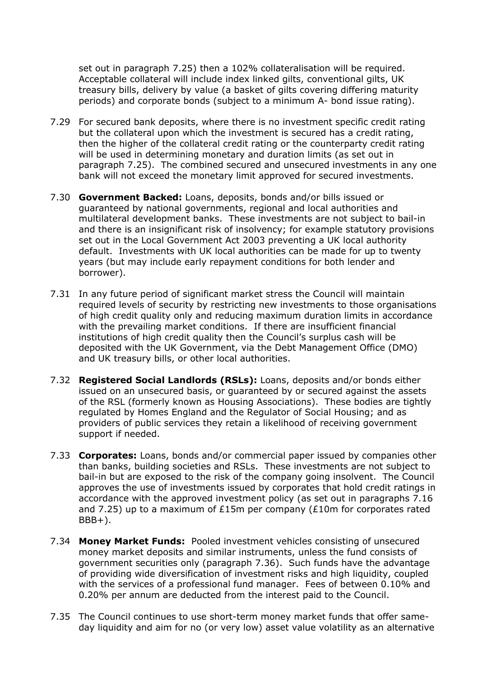set out in paragraph 7.25) then a 102% collateralisation will be required. Acceptable collateral will include index linked gilts, conventional gilts, UK treasury bills, delivery by value (a basket of gilts covering differing maturity periods) and corporate bonds (subject to a minimum A- bond issue rating).

- 7.29 For secured bank deposits, where there is no investment specific credit rating but the collateral upon which the investment is secured has a credit rating, then the higher of the collateral credit rating or the counterparty credit rating will be used in determining monetary and duration limits (as set out in paragraph 7.25). The combined secured and unsecured investments in any one bank will not exceed the monetary limit approved for secured investments.
- 7.30 **Government Backed:** Loans, deposits, bonds and/or bills issued or guaranteed by national governments, regional and local authorities and multilateral development banks. These investments are not subject to bail-in and there is an insignificant risk of insolvency; for example statutory provisions set out in the Local Government Act 2003 preventing a UK local authority default. Investments with UK local authorities can be made for up to twenty years (but may include early repayment conditions for both lender and borrower).
- 7.31 In any future period of significant market stress the Council will maintain required levels of security by restricting new investments to those organisations of high credit quality only and reducing maximum duration limits in accordance with the prevailing market conditions. If there are insufficient financial institutions of high credit quality then the Council's surplus cash will be deposited with the UK Government, via the Debt Management Office (DMO) and UK treasury bills, or other local authorities.
- 7.32 **Registered Social Landlords (RSLs):** Loans, deposits and/or bonds either issued on an unsecured basis, or guaranteed by or secured against the assets of the RSL (formerly known as Housing Associations). These bodies are tightly regulated by Homes England and the Regulator of Social Housing; and as providers of public services they retain a likelihood of receiving government support if needed.
- 7.33 **Corporates:** Loans, bonds and/or commercial paper issued by companies other than banks, building societies and RSLs. These investments are not subject to bail-in but are exposed to the risk of the company going insolvent. The Council approves the use of investments issued by corporates that hold credit ratings in accordance with the approved investment policy (as set out in paragraphs 7.16 and 7.25) up to a maximum of £15m per company (£10m for corporates rated  $BBB+$ ).
- 7.34 **Money Market Funds:** Pooled investment vehicles consisting of unsecured money market deposits and similar instruments, unless the fund consists of government securities only (paragraph 7.36). Such funds have the advantage of providing wide diversification of investment risks and high liquidity, coupled with the services of a professional fund manager. Fees of between 0.10% and 0.20% per annum are deducted from the interest paid to the Council.
- 7.35 The Council continues to use short-term money market funds that offer sameday liquidity and aim for no (or very low) asset value volatility as an alternative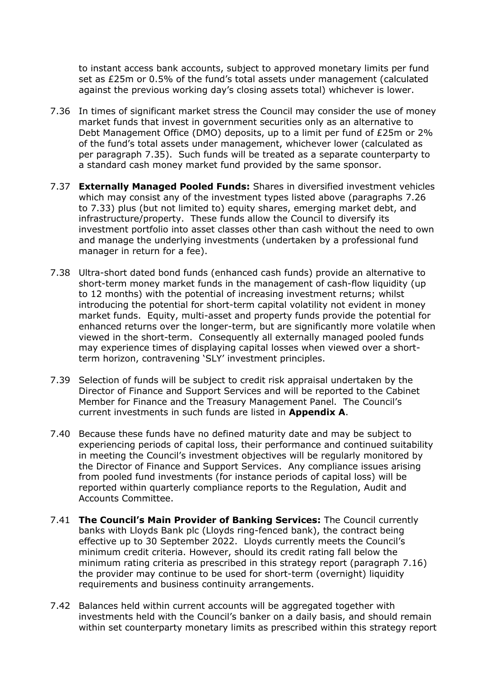to instant access bank accounts, subject to approved monetary limits per fund set as £25m or 0.5% of the fund's total assets under management (calculated against the previous working day's closing assets total) whichever is lower.

- 7.36 In times of significant market stress the Council may consider the use of money market funds that invest in government securities only as an alternative to Debt Management Office (DMO) deposits, up to a limit per fund of £25m or 2% of the fund's total assets under management, whichever lower (calculated as per paragraph 7.35). Such funds will be treated as a separate counterparty to a standard cash money market fund provided by the same sponsor.
- 7.37 **Externally Managed Pooled Funds:** Shares in diversified investment vehicles which may consist any of the investment types listed above (paragraphs 7.26 to 7.33) plus (but not limited to) equity shares, emerging market debt, and infrastructure/property. These funds allow the Council to diversify its investment portfolio into asset classes other than cash without the need to own and manage the underlying investments (undertaken by a professional fund manager in return for a fee).
- 7.38 Ultra-short dated bond funds (enhanced cash funds) provide an alternative to short-term money market funds in the management of cash-flow liquidity (up to 12 months) with the potential of increasing investment returns; whilst introducing the potential for short-term capital volatility not evident in money market funds. Equity, multi-asset and property funds provide the potential for enhanced returns over the longer-term, but are significantly more volatile when viewed in the short-term. Consequently all externally managed pooled funds may experience times of displaying capital losses when viewed over a shortterm horizon, contravening 'SLY' investment principles.
- 7.39 Selection of funds will be subject to credit risk appraisal undertaken by the Director of Finance and Support Services and will be reported to the Cabinet Member for Finance and the Treasury Management Panel. The Council's current investments in such funds are listed in **Appendix A**.
- 7.40 Because these funds have no defined maturity date and may be subject to experiencing periods of capital loss, their performance and continued suitability in meeting the Council's investment objectives will be regularly monitored by the Director of Finance and Support Services. Any compliance issues arising from pooled fund investments (for instance periods of capital loss) will be reported within quarterly compliance reports to the Regulation, Audit and Accounts Committee.
- 7.41 **The Council's Main Provider of Banking Services:** The Council currently banks with Lloyds Bank plc (Lloyds ring-fenced bank), the contract being effective up to 30 September 2022. Lloyds currently meets the Council's minimum credit criteria. However, should its credit rating fall below the minimum rating criteria as prescribed in this strategy report (paragraph 7.16) the provider may continue to be used for short-term (overnight) liquidity requirements and business continuity arrangements.
- 7.42 Balances held within current accounts will be aggregated together with investments held with the Council's banker on a daily basis, and should remain within set counterparty monetary limits as prescribed within this strategy report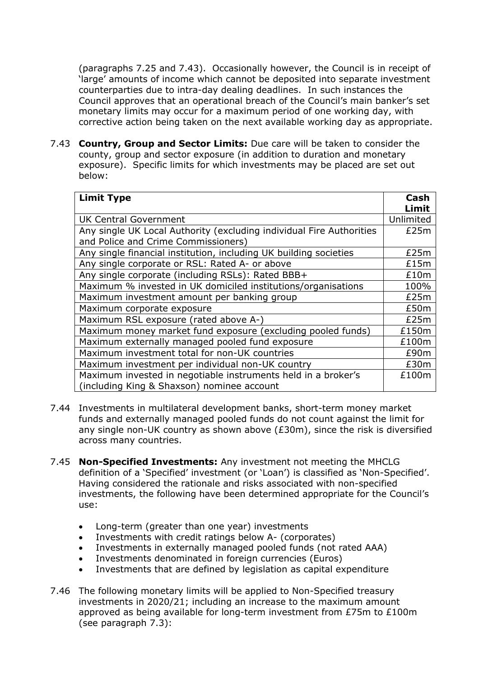(paragraphs 7.25 and 7.43). Occasionally however, the Council is in receipt of 'large' amounts of income which cannot be deposited into separate investment counterparties due to intra-day dealing deadlines. In such instances the Council approves that an operational breach of the Council's main banker's set monetary limits may occur for a maximum period of one working day, with corrective action being taken on the next available working day as appropriate.

7.43 **Country, Group and Sector Limits:** Due care will be taken to consider the county, group and sector exposure (in addition to duration and monetary exposure). Specific limits for which investments may be placed are set out below:

| <b>Limit Type</b>                                                                                           | Cash<br>Limit |
|-------------------------------------------------------------------------------------------------------------|---------------|
| <b>UK Central Government</b>                                                                                | Unlimited     |
| Any single UK Local Authority (excluding individual Fire Authorities<br>and Police and Crime Commissioners) | £25m          |
| Any single financial institution, including UK building societies                                           | £25m          |
| Any single corporate or RSL: Rated A- or above                                                              | £15m          |
| Any single corporate (including RSLs): Rated BBB+                                                           | £10m          |
| Maximum % invested in UK domiciled institutions/organisations                                               | 100%          |
| Maximum investment amount per banking group                                                                 | £25m          |
| Maximum corporate exposure                                                                                  | £50m          |
| Maximum RSL exposure (rated above A-)                                                                       | £25m          |
| Maximum money market fund exposure (excluding pooled funds)                                                 | £150m         |
| Maximum externally managed pooled fund exposure                                                             | £100m         |
| Maximum investment total for non-UK countries                                                               | £90m          |
| Maximum investment per individual non-UK country                                                            | £30m          |
| Maximum invested in negotiable instruments held in a broker's<br>(including King & Shaxson) nominee account | £100m         |

- 7.44 Investments in multilateral development banks, short-term money market funds and externally managed pooled funds do not count against the limit for any single non-UK country as shown above (£30m), since the risk is diversified across many countries.
- 7.45 **Non-Specified Investments:** Any investment not meeting the MHCLG definition of a 'Specified' investment (or 'Loan') is classified as 'Non-Specified'. Having considered the rationale and risks associated with non-specified investments, the following have been determined appropriate for the Council's use:
	- Long-term (greater than one year) investments
	- Investments with credit ratings below A- (corporates)
	- Investments in externally managed pooled funds (not rated AAA)
	- Investments denominated in foreign currencies (Euros)
	- Investments that are defined by legislation as capital expenditure
- 7.46 The following monetary limits will be applied to Non-Specified treasury investments in 2020/21; including an increase to the maximum amount approved as being available for long-term investment from £75m to £100m (see paragraph 7.3):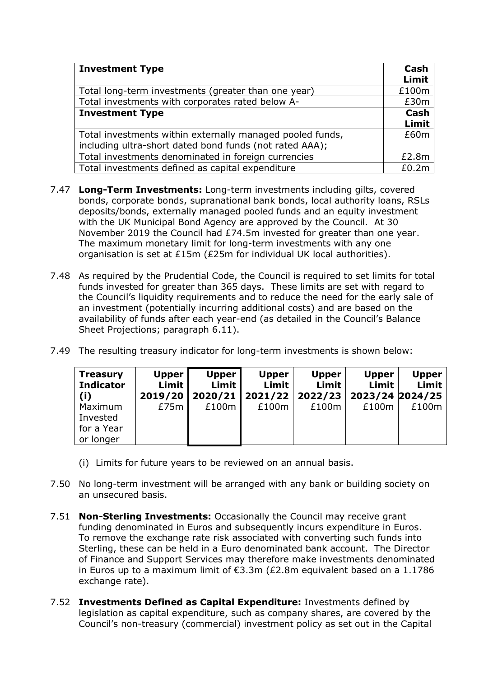| <b>Investment Type</b>                                    | Cash<br>Limit |
|-----------------------------------------------------------|---------------|
| Total long-term investments (greater than one year)       | £100m         |
| Total investments with corporates rated below A-          | £30m          |
| <b>Investment Type</b>                                    |               |
|                                                           | Limit         |
| Total investments within externally managed pooled funds, | £60m          |
| including ultra-short dated bond funds (not rated AAA);   |               |
| Total investments denominated in foreign currencies       | £2.8m         |
| Total investments defined as capital expenditure          | £0.2m         |

- 7.47 **Long-Term Investments:** Long-term investments including gilts, covered bonds, corporate bonds, supranational bank bonds, local authority loans, RSLs deposits/bonds, externally managed pooled funds and an equity investment with the UK Municipal Bond Agency are approved by the Council. At 30 November 2019 the Council had £74.5m invested for greater than one year. The maximum monetary limit for long-term investments with any one organisation is set at £15m (£25m for individual UK local authorities).
- 7.48 As required by the Prudential Code, the Council is required to set limits for total funds invested for greater than 365 days. These limits are set with regard to the Council's liquidity requirements and to reduce the need for the early sale of an investment (potentially incurring additional costs) and are based on the availability of funds after each year-end (as detailed in the Council's Balance Sheet Projections; paragraph 6.11).
- 7.49 The resulting treasury indicator for long-term investments is shown below:

| <b>Treasury</b><br><b>Indicator</b><br>(i)     | <b>Upper</b><br>Limit  <br>2019/20 | <b>Upper</b><br>Limit  <br>2020/21 | <b>Upper</b><br>Limit<br>2021/22 | <b>Upper</b><br>Limit<br>2022/23 | <b>Upper</b><br>Limit<br>2023/24 2024/25 | <b>Upper</b><br>Limit |
|------------------------------------------------|------------------------------------|------------------------------------|----------------------------------|----------------------------------|------------------------------------------|-----------------------|
| Maximum<br>Invested<br>for a Year<br>or longer | £75 $m$                            | £100m                              | £100m                            | £100m                            | £100m                                    | £100m                 |

- (i) Limits for future years to be reviewed on an annual basis.
- 7.50 No long-term investment will be arranged with any bank or building society on an unsecured basis.
- 7.51 **Non-Sterling Investments:** Occasionally the Council may receive grant funding denominated in Euros and subsequently incurs expenditure in Euros. To remove the exchange rate risk associated with converting such funds into Sterling, these can be held in a Euro denominated bank account. The Director of Finance and Support Services may therefore make investments denominated in Euros up to a maximum limit of €3.3m (£2.8m equivalent based on a 1.1786 exchange rate).
- 7.52 **Investments Defined as Capital Expenditure:** Investments defined by legislation as capital expenditure, such as company shares, are covered by the Council's non-treasury (commercial) investment policy as set out in the Capital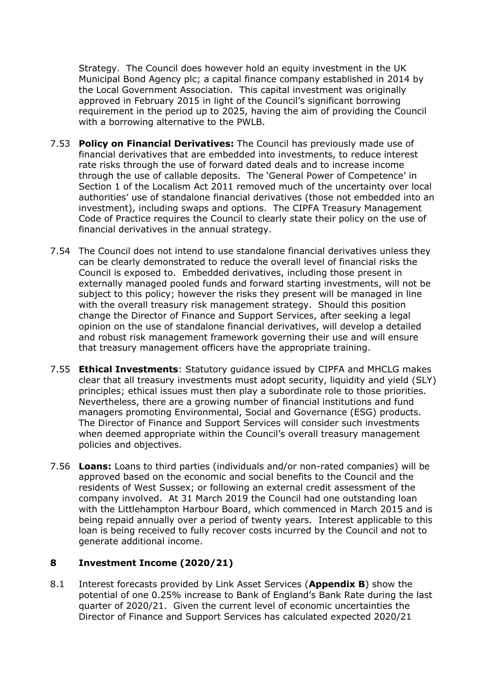Strategy. The Council does however hold an equity investment in the UK Municipal Bond Agency plc; a capital finance company established in 2014 by the Local Government Association. This capital investment was originally approved in February 2015 in light of the Council's significant borrowing requirement in the period up to 2025, having the aim of providing the Council with a borrowing alternative to the PWLB.

- 7.53 **Policy on Financial Derivatives:** The Council has previously made use of financial derivatives that are embedded into investments, to reduce interest rate risks through the use of forward dated deals and to increase income through the use of callable deposits. The 'General Power of Competence' in Section 1 of the Localism Act 2011 removed much of the uncertainty over local authorities' use of standalone financial derivatives (those not embedded into an investment), including swaps and options. The CIPFA Treasury Management Code of Practice requires the Council to clearly state their policy on the use of financial derivatives in the annual strategy.
- 7.54 The Council does not intend to use standalone financial derivatives unless they can be clearly demonstrated to reduce the overall level of financial risks the Council is exposed to. Embedded derivatives, including those present in externally managed pooled funds and forward starting investments, will not be subject to this policy; however the risks they present will be managed in line with the overall treasury risk management strategy. Should this position change the Director of Finance and Support Services, after seeking a legal opinion on the use of standalone financial derivatives, will develop a detailed and robust risk management framework governing their use and will ensure that treasury management officers have the appropriate training.
- 7.55 **Ethical Investments**: Statutory guidance issued by CIPFA and MHCLG makes clear that all treasury investments must adopt security, liquidity and yield (SLY) principles; ethical issues must then play a subordinate role to those priorities. Nevertheless, there are a growing number of financial institutions and fund managers promoting Environmental, Social and Governance (ESG) products. The Director of Finance and Support Services will consider such investments when deemed appropriate within the Council's overall treasury management policies and objectives.
- 7.56 **Loans:** Loans to third parties (individuals and/or non-rated companies) will be approved based on the economic and social benefits to the Council and the residents of West Sussex; or following an external credit assessment of the company involved. At 31 March 2019 the Council had one outstanding loan with the Littlehampton Harbour Board, which commenced in March 2015 and is being repaid annually over a period of twenty years. Interest applicable to this loan is being received to fully recover costs incurred by the Council and not to generate additional income.

# **8 Investment Income (2020/21)**

8.1 Interest forecasts provided by Link Asset Services (**Appendix B**) show the potential of one 0.25% increase to Bank of England's Bank Rate during the last quarter of 2020/21. Given the current level of economic uncertainties the Director of Finance and Support Services has calculated expected 2020/21